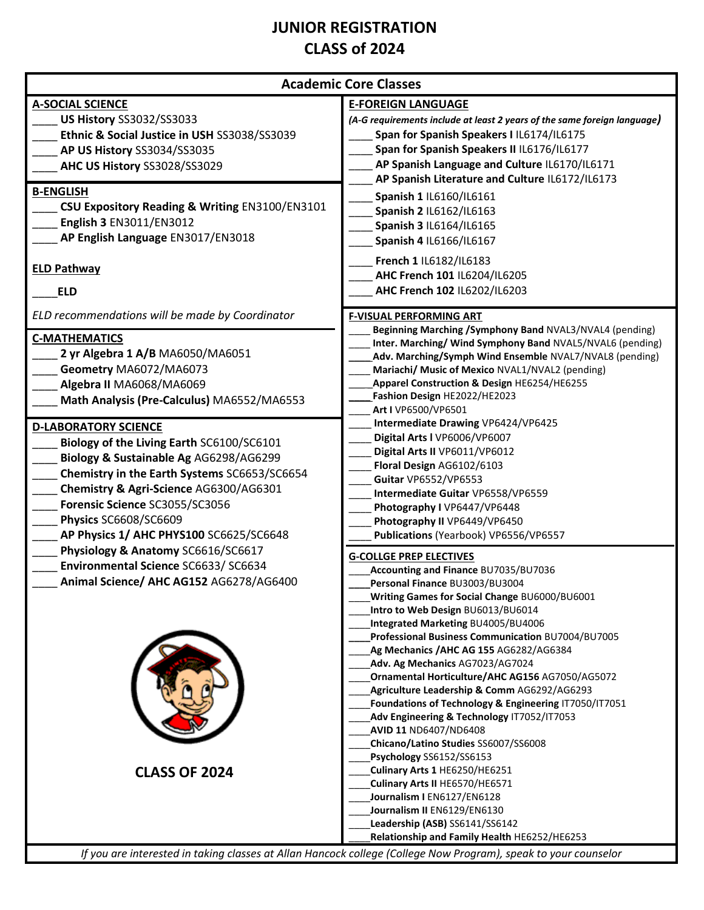## **JUNIOR REGISTRATION CLASS of 2024**

| <b>Academic Core Classes</b>                                                                                                                                                                                                                                                                                                                                                                                                               |                                                                                                                                                                                                                                                                                                                                                                                                                                                                                                                                                                                                                                                                               |  |
|--------------------------------------------------------------------------------------------------------------------------------------------------------------------------------------------------------------------------------------------------------------------------------------------------------------------------------------------------------------------------------------------------------------------------------------------|-------------------------------------------------------------------------------------------------------------------------------------------------------------------------------------------------------------------------------------------------------------------------------------------------------------------------------------------------------------------------------------------------------------------------------------------------------------------------------------------------------------------------------------------------------------------------------------------------------------------------------------------------------------------------------|--|
| <b>A-SOCIAL SCIENCE</b><br>US History SS3032/SS3033<br>Ethnic & Social Justice in USH SS3038/SS3039<br>AP US History SS3034/SS3035<br>AHC US History SS3028/SS3029<br><b>B-ENGLISH</b><br>CSU Expository Reading & Writing EN3100/EN3101                                                                                                                                                                                                   | <b>E-FOREIGN LANGUAGE</b><br>(A-G requirements include at least 2 years of the same foreign language)<br>Span for Spanish Speakers I IL6174/IL6175<br>Span for Spanish Speakers II IL6176/IL6177<br>AP Spanish Language and Culture IL6170/IL6171<br>AP Spanish Literature and Culture IL6172/IL6173<br>Spanish 1 IL6160/IL6161<br>Spanish 2 IL6162/IL6163                                                                                                                                                                                                                                                                                                                    |  |
| English 3 EN3011/EN3012<br>AP English Language EN3017/EN3018<br><b>ELD Pathway</b>                                                                                                                                                                                                                                                                                                                                                         | Spanish 3 IL6164/IL6165<br>Spanish 4 IL6166/IL6167<br>French 1 IL6182/IL6183                                                                                                                                                                                                                                                                                                                                                                                                                                                                                                                                                                                                  |  |
| <b>ELD</b>                                                                                                                                                                                                                                                                                                                                                                                                                                 | AHC French 101 IL6204/IL6205<br>AHC French 102 IL6202/IL6203                                                                                                                                                                                                                                                                                                                                                                                                                                                                                                                                                                                                                  |  |
| ELD recommendations will be made by Coordinator<br><b>C-MATHEMATICS</b><br>2 yr Algebra 1 A/B MA6050/MA6051<br>Geometry MA6072/MA6073<br>Algebra II MA6068/MA6069<br>Math Analysis (Pre-Calculus) MA6552/MA6553                                                                                                                                                                                                                            | <b>F-VISUAL PERFORMING ART</b><br>Beginning Marching / Symphony Band NVAL3/NVAL4 (pending)<br>Inter. Marching/ Wind Symphony Band NVAL5/NVAL6 (pending)<br>Adv. Marching/Symph Wind Ensemble NVAL7/NVAL8 (pending)<br>Mariachi/ Music of Mexico NVAL1/NVAL2 (pending)<br>Apparel Construction & Design HE6254/HE6255<br>Fashion Design HE2022/HE2023<br>Art I VP6500/VP6501                                                                                                                                                                                                                                                                                                   |  |
| <b>D-LABORATORY SCIENCE</b><br>Biology of the Living Earth SC6100/SC6101<br>Biology & Sustainable Ag AG6298/AG6299<br>Chemistry in the Earth Systems SC6653/SC6654<br>Chemistry & Agri-Science AG6300/AG6301<br>Forensic Science SC3055/SC3056<br>Physics SC6608/SC6609<br>AP Physics 1/ AHC PHYS100 SC6625/SC6648<br>Physiology & Anatomy SC6616/SC6617<br>Environmental Science SC6633/SC6634<br>Animal Science/ AHC AG152 AG6278/AG6400 | Intermediate Drawing VP6424/VP6425<br>Digital Arts I VP6006/VP6007<br>Digital Arts II VP6011/VP6012<br>Floral Design AG6102/6103<br><b>Guitar VP6552/VP6553</b><br>Intermediate Guitar VP6558/VP6559<br>Photography I VP6447/VP6448<br>Photography II VP6449/VP6450<br>Publications (Yearbook) VP6556/VP6557                                                                                                                                                                                                                                                                                                                                                                  |  |
|                                                                                                                                                                                                                                                                                                                                                                                                                                            | <b>G-COLLGE PREP ELECTIVES</b><br>Accounting and Finance BU7035/BU7036<br>Personal Finance BU3003/BU3004<br>Writing Games for Social Change BU6000/BU6001<br>Intro to Web Design BU6013/BU6014<br>Integrated Marketing BU4005/BU4006<br>Professional Business Communication BU7004/BU7005<br>Ag Mechanics / AHC AG 155 AG6282/AG6384<br>Adv. Ag Mechanics AG7023/AG7024<br>Ornamental Horticulture/AHC AG156 AG7050/AG5072<br>Agriculture Leadership & Comm AG6292/AG6293<br>Foundations of Technology & Engineering IT7050/IT7051<br>Adv Engineering & Technology IT7052/IT7053<br>AVID 11 ND6407/ND6408<br>Chicano/Latino Studies SS6007/SS6008<br>Psychology SS6152/SS6153 |  |
| <b>CLASS OF 2024</b>                                                                                                                                                                                                                                                                                                                                                                                                                       | Culinary Arts 1 HE6250/HE6251<br>Culinary Arts II HE6570/HE6571<br>Journalism I EN6127/EN6128<br>Journalism II EN6129/EN6130<br>Leadership (ASB) SS6141/SS6142<br>Relationship and Family Health HE6252/HE6253<br>If you are interested in taking classes at Allan Hancock college (College Now Program), speak to your counselor                                                                                                                                                                                                                                                                                                                                             |  |

*If you are interested in taking classes at Allan Hancock college (College Now Program), speak to your counselor*